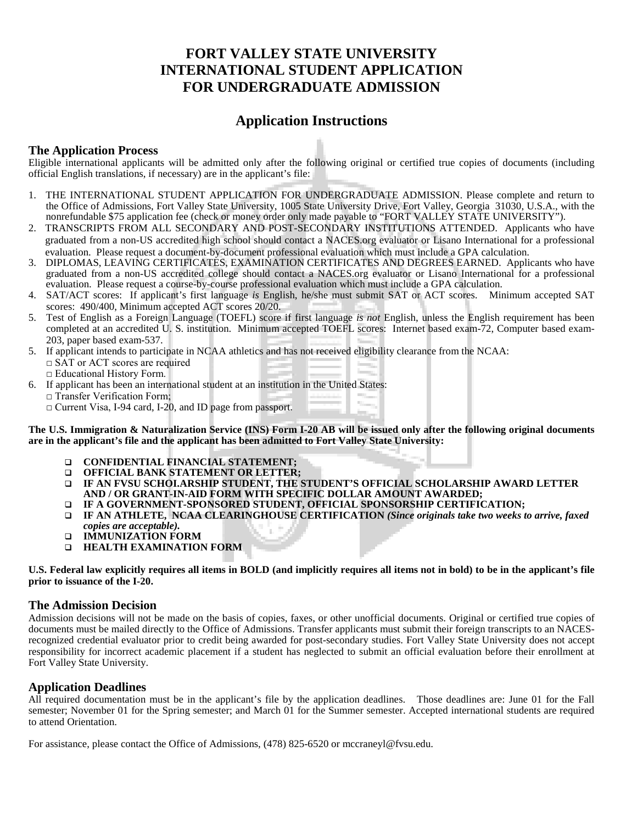# **FORT VALLEY STATE UNIVERSITY INTERNATIONAL STUDENT APPLICATION FOR UNDERGRADUATE ADMISSION**

# **Application Instructions**

## **The Application Process**

Eligible international applicants will be admitted only after the following original or certified true copies of documents (including official English translations, if necessary) are in the applicant's file:

- 1. THE INTERNATIONAL STUDENT APPLICATION FOR UNDERGRADUATE ADMISSION. Please complete and return to the Office of Admissions, Fort Valley State University, 1005 State University Drive, Fort Valley, Georgia 31030, U.S.A., with the nonrefundable \$75 application fee (check or money order only made payable to "FORT VALLEY STATE UNIVERSITY").
- 2. TRANSCRIPTS FROM ALL SECONDARY AND POST-SECONDARY INSTITUTIONS ATTENDED. Applicants who have graduated from a non-US accredited high school should contact a NACES.org evaluator or Lisano International for a professional evaluation. Please request a document-by-document professional evaluation which must include a GPA calculation.
- 3. DIPLOMAS, LEAVING CERTIFICATES, EXAMINATION CERTIFICATES AND DEGREES EARNED. Applicants who have graduated from a non-US accredited college should contact a NACES.org evaluator or Lisano International for a professional evaluation. Please request a course-by-course professional evaluation which must include a GPA calculation.
- 4. SAT/ACT scores: If applicant's first language *is* English, he/she must submit SAT or ACT scores. Minimum accepted SAT scores: 490/400, Minimum accepted ACT scores 20/20.
- 5. Test of English as a Foreign Language (TOEFL) score if first language *is not* English, unless the English requirement has been completed at an accredited U. S. institution. Minimum accepted TOEFL scores: Internet based exam-72, Computer based exam-203, paper based exam-537.
- 5. If applicant intends to participate in NCAA athletics and has not received eligibility clearance from the NCAA: □ SAT or ACT scores are required □ Educational History Form.
- 6. If applicant has been an international student at an institution in the United States: □ Transfer Verification Form;
	- □ Current Visa, I-94 card, I-20, and ID page from passport.

**The U.S. Immigration & Naturalization Service (INS) Form I-20 AB will be issued only after the following original documents are in the applicant's file and the applicant has been admitted to Fort Valley State University:**

- **CONFIDENTIAL FINANCIAL STATEMENT;**
- **OFFICIAL BANK STATEMENT OR LETTER;**<br>**IF AN FVSU SCHOLARSHIP STUDENT. THE :**
- **IF AN FVSU SCHOI.ARSHIP STUDENT, THE STUDENT'S OFFICIAL SCHOLARSHIP AWARD LETTER AND / OR GRANT-IN-AID FORM WITH SPECIFIC DOLLAR AMOUNT AWARDED;**
- **IF A GOVERNMENT-SPONSORED STUDENT, OFFICIAL SPONSORSHIP CERTIFICATION;**
- **IF AN ATHLETE, NCAA CLEARINGHOUSE CERTIFICATION** *(Since originals take two weeks to arrive, faxed copies are acceptable).*
- **IMMUNIZATION FORM**
- **HEALTH EXAMINATION FORM**

**U.S. Federal law explicitly requires all items in BOLD (and implicitly requires all items not in bold) to be in the applicant's file prior to issuance of the I-20.**

#### **The Admission Decision**

Admission decisions will not be made on the basis of copies, faxes, or other unofficial documents. Original or certified true copies of documents must be mailed directly to the Office of Admissions. Transfer applicants must submit their foreign transcripts to an NACESrecognized credential evaluator prior to credit being awarded for post-secondary studies. Fort Valley State University does not accept responsibility for incorrect academic placement if a student has neglected to submit an official evaluation before their enrollment at Fort Valley State University.

## **Application Deadlines**

All required documentation must be in the applicant's file by the application deadlines. Those deadlines are: June 01 for the Fall semester; November 01 for the Spring semester; and March 01 for the Summer semester. Accepted international students are required to attend Orientation.

For assistance, please contact the Office of Admissions, (478) 825-6520 or mccraneyl@fvsu.edu.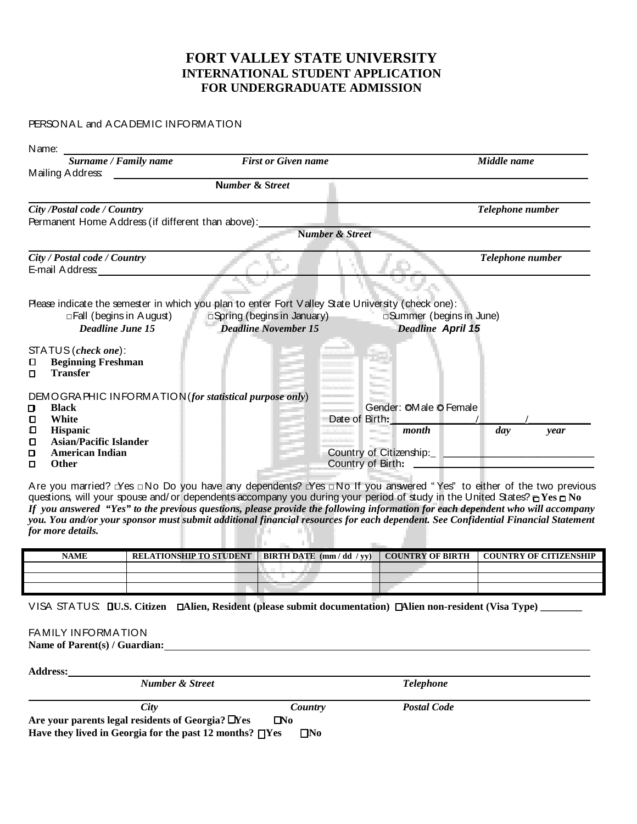# **FORT VALLEY STATE UNIVERSITY INTERNATIONAL STUDENT APPLICATION FOR UNDERGRADUATE ADMISSION**

#### PERSONAL and ACADEMIC INFORMATION

| Name:       |                                                        |                                                                                                   |                                                           |                  |
|-------------|--------------------------------------------------------|---------------------------------------------------------------------------------------------------|-----------------------------------------------------------|------------------|
|             | <b>Surname / Family name</b>                           | <b>First or Given name</b>                                                                        |                                                           | Middle name      |
|             | Mailing Address                                        |                                                                                                   |                                                           |                  |
|             |                                                        | Number & Street                                                                                   |                                                           |                  |
|             | City /Postal code / Country                            |                                                                                                   |                                                           | Telephone number |
|             | Permanent Home Address (if different than above):      |                                                                                                   |                                                           |                  |
|             |                                                        |                                                                                                   | <b>Number &amp; Street</b>                                |                  |
|             | City / Postal code / Country                           |                                                                                                   |                                                           | Telephone number |
|             |                                                        |                                                                                                   |                                                           |                  |
|             |                                                        | Please indicate the semester in which you plan to enter Fort Valley State University (check one): |                                                           |                  |
|             | $\Box$ Fall (begins in August)                         |                                                                                                   | <b>Spring (begins in January)</b> Summer (begins in June) |                  |
|             | <b>Deadline June 15</b>                                | <b>Deadline November 15</b>                                                                       | Deadline April 15                                         |                  |
|             |                                                        |                                                                                                   |                                                           |                  |
|             | STATUS (check one):                                    |                                                                                                   |                                                           |                  |
| O           | <b>Beginning Freshman</b>                              |                                                                                                   |                                                           |                  |
| п           | <b>Transfer</b>                                        |                                                                                                   |                                                           |                  |
|             | DEMOGRAPHIC INFORMATION (for statistical purpose only) |                                                                                                   |                                                           |                  |
| ם           | <b>Black</b>                                           |                                                                                                   | Gender: OMale O Female                                    |                  |
| O           | White                                                  |                                                                                                   | Date of Birth:                                            |                  |
| ◫           | <b>Hispanic</b>                                        |                                                                                                   | month                                                     | day<br>year      |
| o           | <b>Asian/Pacific Islander</b>                          |                                                                                                   |                                                           |                  |
| o<br>$\Box$ | <b>American Indian</b><br><b>Other</b>                 |                                                                                                   | Country of Citizenship:<br>Country of Birth:              |                  |
|             |                                                        |                                                                                                   |                                                           |                  |

Are you married? ⊡Yes □No Do you have any dependents? ⊡Yes □No If you answered "Yes" to either of the two previous questions, will your spouse and/ or dependents accompany you during your period of study in the United States? **□ Yes □ No**  *If you answered "Yes" to the previous questions, please provide the following information for each dependent who will accompany you. You and/or your sponsor must submit additional financial resources for each dependent. See Confidential Financial Statement for more details.*

| <b>NAME</b> | <b>RELATIONSHIP TO STUDENT</b> | $\parallel$ BIRTH DATE (mm / dd / yy) | <b>I COUNTRY OF BIRTH</b> | <b>COUNTRY OF CITIZENSHIP</b> |
|-------------|--------------------------------|---------------------------------------|---------------------------|-------------------------------|
|             |                                |                                       |                           |                               |
|             |                                |                                       |                           |                               |
|             |                                |                                       |                           |                               |

VISA STATUS: **U.S. Citizen Alien, Resident (please submit documentation) Alien non-resident (Visa Type) \_\_\_\_\_\_\_\_**

FAMILY INFORMATION

**Name of Parent(s) / Guardian:**

**Address:**

| 11 44 699.                                        |              |                    |  |
|---------------------------------------------------|--------------|--------------------|--|
| Number & Street                                   |              | <i>Telephone</i>   |  |
| City                                              | Country      | <b>Postal Code</b> |  |
| Are your parents legal residents of Georgia? LYes | $\square$ No |                    |  |
|                                                   |              |                    |  |

**Have they lived in Georgia for the past 12 months? □Yes □ No**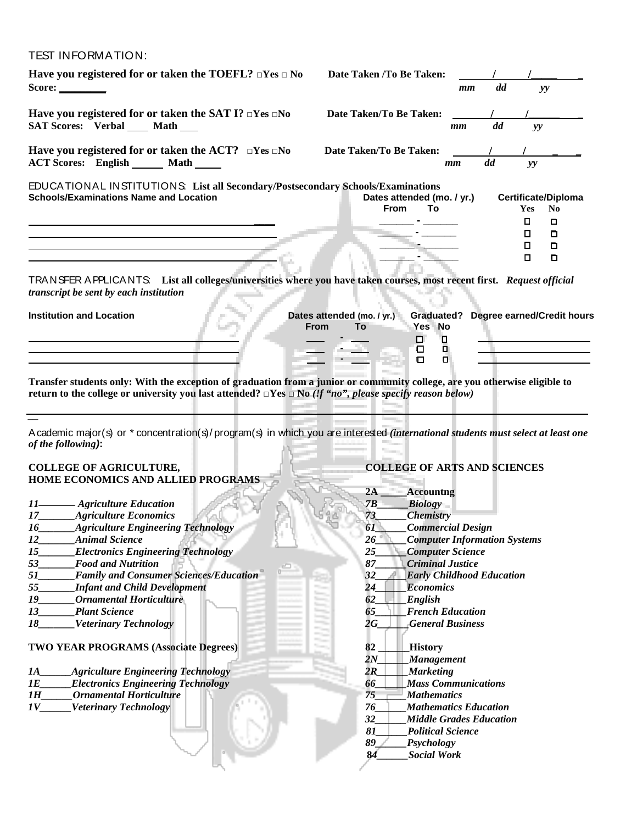### TEST INFORMATION:

| Have you registered for or taken the TOEFL? $\Box$ Yes $\Box$ No                                                                                                                                                                                       | Date Taken /To Be Taken:                        |              |    |            |                            |
|--------------------------------------------------------------------------------------------------------------------------------------------------------------------------------------------------------------------------------------------------------|-------------------------------------------------|--------------|----|------------|----------------------------|
| Score: and the second second second second second second second second second second second second second second second second second second second second second second second second second second second second second seco                         |                                                 | mm           | dd |            | y y                        |
| Have you registered for or taken the SAT I? $\Box$ Yes $\Box$ No                                                                                                                                                                                       | Date Taken/To Be Taken:                         |              |    |            |                            |
| SAT Scores: Verbal ____ Math ___                                                                                                                                                                                                                       |                                                 | $\mathbf{m}$ | dd | yy         |                            |
| Have you registered for or taken the ACT? $\Box$ Yes $\Box$ No                                                                                                                                                                                         | Date Taken/To Be Taken:                         |              |    |            |                            |
| ACT Scores: English ______ Math _____                                                                                                                                                                                                                  |                                                 | mm           | dd | y y        |                            |
| EDUCATIONAL INSTITUTIONS: List all Secondary/Postsecondary Schools/Examinations                                                                                                                                                                        |                                                 |              |    |            |                            |
| <b>Schools/Examinations Name and Location</b>                                                                                                                                                                                                          | Dates attended (mo. / yr.)                      |              |    |            | <b>Certificate/Diploma</b> |
|                                                                                                                                                                                                                                                        | <b>From</b><br>To                               |              |    | <b>Yes</b> | $\mathbf{N}\mathbf{0}$     |
|                                                                                                                                                                                                                                                        |                                                 |              |    | □          | $\Box$                     |
|                                                                                                                                                                                                                                                        |                                                 |              |    | о          | o                          |
|                                                                                                                                                                                                                                                        |                                                 |              |    | о          | o                          |
|                                                                                                                                                                                                                                                        |                                                 |              |    | О          | o                          |
| TRANSFER APPLICANTS: List all colleges/universities where you have taken courses, most recent first. Request official<br><i>transcript be sent by each institution</i>                                                                                 |                                                 |              |    |            |                            |
| <b>Institution and Location</b>                                                                                                                                                                                                                        | Dates attended (mo. / yr.)<br><b>Graduated?</b> |              |    |            | Degree earned/Credit hours |
|                                                                                                                                                                                                                                                        | <b>From</b><br>Yes No<br>To                     |              |    |            |                            |
|                                                                                                                                                                                                                                                        | α                                               |              |    |            |                            |
|                                                                                                                                                                                                                                                        | $\Box$<br>о                                     |              |    |            |                            |
|                                                                                                                                                                                                                                                        | $\Box$<br>о                                     |              |    |            |                            |
| Transfer students only: With the exception of graduation from a junior or community college, are you otherwise eligible to<br>return to the college or university you last attended? $\square$ Yes $\square$ No (!f "no", please specify reason below) |                                                 |              |    |            |                            |
|                                                                                                                                                                                                                                                        |                                                 |              |    |            |                            |

Academic major(s) or \* concentration(s)/ program(s) in which you are interested *(international students must select at least one of the following)***:**

#### **COLLEGE OF AGRICULTURE, COLLEGE OF ARTS AND SCIENCES HOME ECONOMICS AND ALLIED PROGRAMS**

- *11 Agriculture Education 7B\_\_\_\_\_\_Biology*
- *17\_\_\_\_\_\_\_Agriculture Economics 73\_\_\_\_\_\_Chemistry*
- *16\_\_\_\_\_\_\_Agriculture Engineering Technology 61\_\_\_\_\_\_Commercial Design*
- *12\_\_\_\_\_\_\_Animal Science*<br>*15 Electronics Eng*
- *15\_\_\_\_\_\_\_Electronics Engineering Technology 25\_\_\_\_\_\_Computer Science*
- *53\_\_\_\_\_\_\_Food and Nutrition 87\_\_\_\_\_\_Criminal Justice*
- *51\_\_\_\_\_\_\_Family and Consumer Sciences/Education 32\_\_\_\_\_\_Early Childhood Education*
- 55\_\_\_\_\_\_*Infant and Child Development*
- *19\_\_\_\_\_\_\_Ornamental Horticulture 62\_\_\_\_\_\_English*
- *13\_\_\_\_\_\_\_Plant Science 65\_\_\_\_\_\_French Education*
- *18\_\_\_\_\_\_\_Veterinary Technology 2G\_\_\_\_\_\_General Business*

## **TWO YEAR PROGRAMS (Associate Degrees)**

- *1A\_\_\_\_\_\_Agriculture Engineering Technology*
- *1E\_\_\_\_\_Electronics Engineering Technology*
- *1H\_\_\_\_\_\_Ornamental Horticulture*
- *1V\_\_\_\_\_Veterinary Technology*

|     |                                               | 2A | <b>Accounting</b>                   |
|-----|-----------------------------------------------|----|-------------------------------------|
| 11. | <b>Agriculture Education</b>                  | 7B | <b>Biology</b>                      |
| 17  | <b>Agriculture Economics</b>                  | 73 | <b>Chemistry</b>                    |
| 16  | <b>Agriculture Engineering Technology</b>     | 61 | <b>Commercial Design</b>            |
| 12  | <b>Animal Science</b>                         | 26 | <b>Computer Information Systems</b> |
| 15  | <b>Electronics Engineering Technology</b>     | 25 | <b>Computer Science</b>             |
| 53  | <b>Food and Nutrition</b>                     | 87 | <b>Criminal Justice</b>             |
| 51  | <b>Family and Consumer Sciences/Education</b> | 32 | <b>Early Childhood Education</b>    |
| 55  | <b>Infant and Child Development</b>           | 24 | <b>Economics</b>                    |
| 19  | <b>Ornamental Horticulture</b>                | 62 | <b>English</b>                      |
| 13  | <b>Plant Science</b>                          | 65 | <b>French Education</b>             |
| 18  | <b>Veterinary Technology</b>                  | 2G | <b>General Business</b>             |
|     | <b>TWO YEAR PROGRAMS (Associate Degrees)</b>  | 82 | <b>History</b>                      |
|     |                                               | 2N | <b>Management</b>                   |
| 1A  | <b>Agriculture Engineering Technology</b>     | 2R | <b>Marketing</b>                    |
| 1E_ | <b>Electronics Engineering Technology</b>     | 66 | <b>Mass Communications</b>          |
| 1H_ | <b>Ornamental Horticulture</b>                | 75 | <b>Mathematics</b>                  |
| 1V  | <b>Veterinary Technology</b>                  | 76 | <b>Mathematics Education</b>        |
|     |                                               | 32 | <b>Middle Grades Education</b>      |
|     |                                               | 81 | <b>Political Science</b>            |
|     |                                               | 89 | Psychology                          |
|     |                                               | 84 | <b>Social Work</b>                  |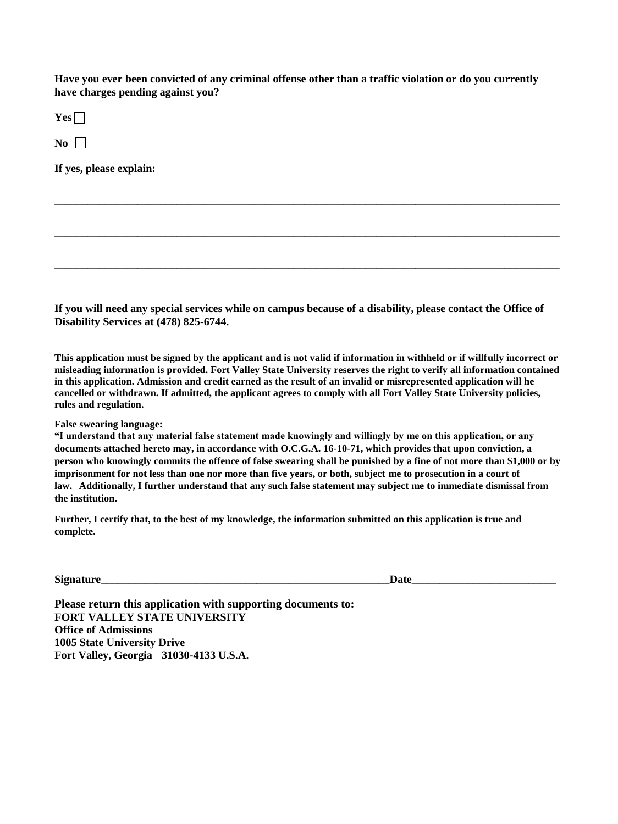**Have you ever been convicted of any criminal offense other than a traffic violation or do you currently have charges pending against you?** 

**Yes**

 $N_0$   $\Box$ 

**If yes, please explain:**

**If you will need any special services while on campus because of a disability, please contact the Office of Disability Services at (478) 825-6744.** 

**\_\_\_\_\_\_\_\_\_\_\_\_\_\_\_\_\_\_\_\_\_\_\_\_\_\_\_\_\_\_\_\_\_\_\_\_\_\_\_\_\_\_\_\_\_\_\_\_\_\_\_\_\_\_\_\_\_\_\_\_\_\_\_\_\_\_\_\_\_\_\_\_\_\_\_\_\_\_\_\_\_\_\_\_\_\_\_\_\_\_\_**

**\_\_\_\_\_\_\_\_\_\_\_\_\_\_\_\_\_\_\_\_\_\_\_\_\_\_\_\_\_\_\_\_\_\_\_\_\_\_\_\_\_\_\_\_\_\_\_\_\_\_\_\_\_\_\_\_\_\_\_\_\_\_\_\_\_\_\_\_\_\_\_\_\_\_\_\_\_\_\_\_\_\_\_\_\_\_\_\_\_\_\_**

**\_\_\_\_\_\_\_\_\_\_\_\_\_\_\_\_\_\_\_\_\_\_\_\_\_\_\_\_\_\_\_\_\_\_\_\_\_\_\_\_\_\_\_\_\_\_\_\_\_\_\_\_\_\_\_\_\_\_\_\_\_\_\_\_\_\_\_\_\_\_\_\_\_\_\_\_\_\_\_\_\_\_\_\_\_\_\_\_\_\_\_**

**This application must be signed by the applicant and is not valid if information in withheld or if willfully incorrect or misleading information is provided. Fort Valley State University reserves the right to verify all information contained in this application. Admission and credit earned as the result of an invalid or misrepresented application will he cancelled or withdrawn. If admitted, the applicant agrees to comply with all Fort Valley State University policies, rules and regulation.** 

**False swearing language:**

**"I understand that any material false statement made knowingly and willingly by me on this application, or any documents attached hereto may, in accordance with O.C.G.A. 16-10-71, which provides that upon conviction, a person who knowingly commits the offence of false swearing shall be punished by a fine of not more than \$1,000 or by imprisonment for not less than one nor more than five years, or both, subject me to prosecution in a court of law. Additionally, I further understand that any such false statement may subject me to immediate dismissal from the institution.**

**Further, I certify that, to the best of my knowledge, the information submitted on this application is true and complete.**

**Signature\_\_\_\_\_\_\_\_\_\_\_\_\_\_\_\_\_\_\_\_\_\_\_\_\_\_\_\_\_\_\_\_\_\_\_\_\_\_\_\_\_\_\_\_\_\_\_\_\_\_\_\_Date\_\_\_\_\_\_\_\_\_\_\_\_\_\_\_\_\_\_\_\_\_\_\_\_\_\_**

**Please return this application with supporting documents to: FORT VALLEY STATE UNIVERSITY Office of Admissions 1005 State University Drive Fort Valley, Georgia 31030-4133 U.S.A.**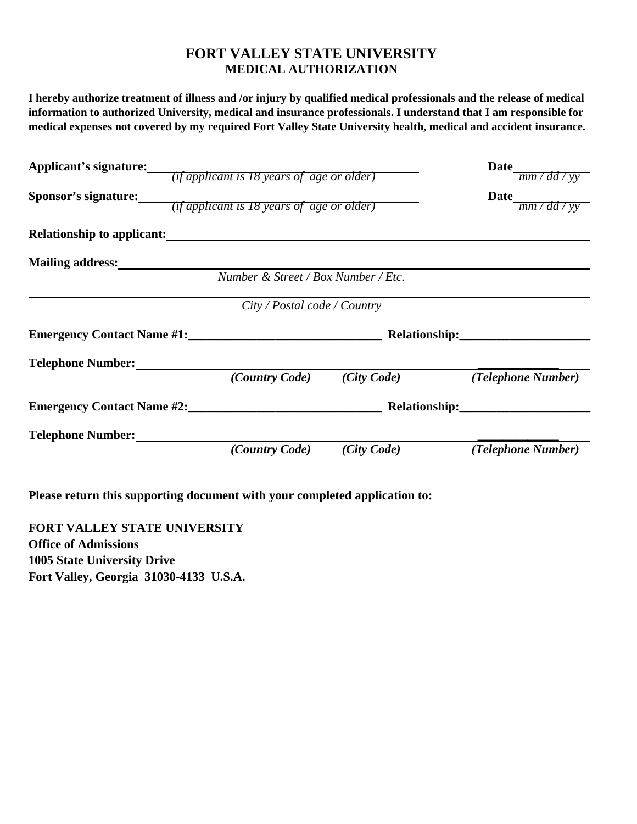# **FORT VALLEY STATE UNIVERSITY MEDICAL AUTHORIZATION**

**I hereby authorize treatment of illness and /or injury by qualified medical professionals and the release of medical information to authorized University, medical and insurance professionals. I understand that I am responsible for medical expenses not covered by my required Fort Valley State University health, medical and accident insurance.**

| Applicant's signature: <i>(if applicant is 18 years of age or older)</i>                                                                                                                                                               |                                     |                            | Date_ $\frac{m m / d d / y y}{m m / d d / y y}$ |
|----------------------------------------------------------------------------------------------------------------------------------------------------------------------------------------------------------------------------------------|-------------------------------------|----------------------------|-------------------------------------------------|
|                                                                                                                                                                                                                                        |                                     |                            |                                                 |
| Sponsor's signature: <i>(if applicant is 18 years of age or older)</i>                                                                                                                                                                 |                                     |                            | Date $\frac{m m / d d / y y}{m m / d d / y y}$  |
|                                                                                                                                                                                                                                        |                                     |                            |                                                 |
| Relationship to applicant:<br><u>Letting and the contract of the contract of the contract of the contract of the contract of the contract of the contract of the contract of the contract of the contract of the contract of the c</u> |                                     |                            |                                                 |
| Mailing address: 1988 and 2008 and 2008 and 2008 and 2008 and 2008 and 2008 and 2008 and 2008 and 2008 and 200                                                                                                                         |                                     |                            |                                                 |
|                                                                                                                                                                                                                                        | Number & Street / Box Number / Etc. |                            |                                                 |
|                                                                                                                                                                                                                                        | City / Postal code / Country        |                            |                                                 |
|                                                                                                                                                                                                                                        |                                     |                            |                                                 |
|                                                                                                                                                                                                                                        |                                     |                            |                                                 |
|                                                                                                                                                                                                                                        |                                     | (Country Code) (City Code) | (Telephone Number)                              |
|                                                                                                                                                                                                                                        |                                     |                            |                                                 |
| Telephone Number:                                                                                                                                                                                                                      |                                     |                            |                                                 |
|                                                                                                                                                                                                                                        |                                     | (Country Code) (City Code) | (Telephone Number)                              |

**Please return this supporting document with your completed application to:**

**FORT VALLEY STATE UNIVERSITY Office of Admissions 1005 State University Drive Fort Valley, Georgia 31030-4133 U.S.A.**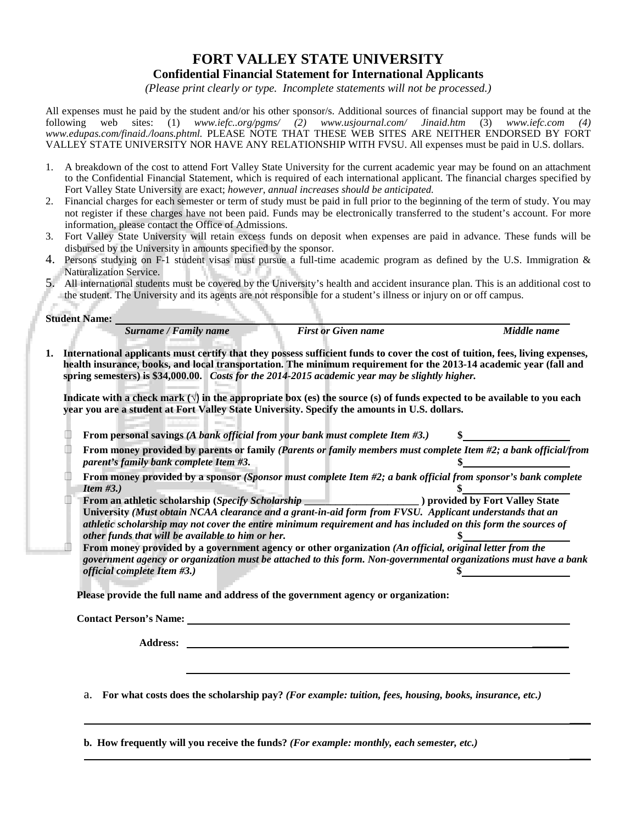# **FORT VALLEY STATE UNIVERSITY Confidential Financial Statement for International Applicants**

*(Please print clearly or type. Incomplete statements will not be processed.)*

All expenses must he paid by the student and/or his other sponsor/s. Additional sources of financial support may be found at the following web sites: (1) *www.iefc..org/pgms/ (2) www.usjournal.com/ Jinaid.htm* (3) *www.iefc.com (4) www.edupas.com/finaid./loans.phtml.* PLEASE NOTE THAT THESE WEB SITES ARE NEITHER ENDORSED BY FORT VALLEY STATE UNIVERSITY NOR HAVE ANY RELATIONSHIP WITH FVSU. All expenses must be paid in U.S. dollars.

- 1. A breakdown of the cost to attend Fort Valley State University for the current academic year may be found on an attachment to the Confidential Financial Statement, which is required of each international applicant. The financial charges specified by Fort Valley State University are exact; *however, annual increases should be anticipated.*
- 2. Financial charges for each semester or term of study must be paid in full prior to the beginning of the term of study. You may not register if these charges have not been paid. Funds may be electronically transferred to the student's account. For more information, please contact the Office of Admissions.
- 3. Fort Valley State University will retain excess funds on deposit when expenses are paid in advance. These funds will be disbursed by the University in amounts specified by the sponsor.
- 4. Persons studying on F-1 student visas must pursue a full-time academic program as defined by the U.S. Immigration & Naturalization Service.
- 5. All international students must be covered by the University's health and accident insurance plan. This is an additional cost to the student. The University and its agents are not responsible for a student's illness or injury on or off campus.

**Student Name:** <u>Surname / Family name</u><br>
First or Given name **Surname / Family name First or Given name Middle name Middle name** Middle name

**1. International applicants must certify that they possess sufficient funds to cover the cost of tuition, fees, living expenses, health insurance, books, and local transportation. The minimum requirement for the 2013-14 academic year (fall and spring semesters) is \$34,000.00.** *Costs for the 2014-2015 academic year may be slightly higher.*

**Indicate with a check mark (√) in the appropriate box (es) the source (s) of funds expected to be available to you each year you are a student at Fort Valley State University. Specify the amounts in U.S. dollars.**

**From personal savings (A bank official from your bank must complete Item #3.)** 

- **From money provided by parents or family** *(Parents or family members must complete Item #2; a bank official/from parent's family bank complete Item #3.*
- **From money provided by a sponsor** *(Sponsor must complete Item #2; a bank official from sponsor's bank complete Item #3.)* **\$** 
	- **From an athletic scholarship (***Specify Scholarship* **\_\_\_\_\_\_\_\_\_\_\_\_\_\_\_\_\_\_\_\_\_\_ ) provided by Fort Valley State University** *(Must obtain NCAA clearance and a grant-in-aid form from FVSU. Applicant understands that an athletic scholarship may not cover the entire minimum requirement and has included on this form the sources of other funds that will be available to him or her.* **\$**

 **From money provided by a government agency or other organization** *(An official, original letter from the government agency or organization must be attached to this form. Non-governmental organizations must have a bank official complete Item #3.)* **\$** 

 **Please provide the full name and address of the government agency or organization:**

 **Contact Person's Name:** 

 **Address: \_\_\_\_\_\_\_**

a. **For what costs does the scholarship pay?** *(For example: tuition, fees, housing, books, insurance, etc.)*

 **\_\_\_\_**

 **\_\_\_\_**

**b. How frequently will you receive the funds?** *(For example: monthly, each semester, etc.)*